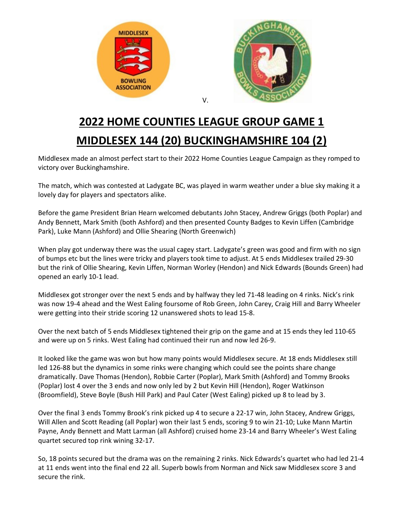

## **2022 HOME COUNTIES LEAGUE GROUP GAME 1 MIDDLESEX 144 (20) BUCKINGHAMSHIRE 104 (2)**

Middlesex made an almost perfect start to their 2022 Home Counties League Campaign as they romped to victory over Buckinghamshire.

The match, which was contested at Ladygate BC, was played in warm weather under a blue sky making it a lovely day for players and spectators alike.

Before the game President Brian Hearn welcomed debutants John Stacey, Andrew Griggs (both Poplar) and Andy Bennett, Mark Smith (both Ashford) and then presented County Badges to Kevin Liffen (Cambridge Park), Luke Mann (Ashford) and Ollie Shearing (North Greenwich)

When play got underway there was the usual cagey start. Ladygate's green was good and firm with no sign of bumps etc but the lines were tricky and players took time to adjust. At 5 ends Middlesex trailed 29-30 but the rink of Ollie Shearing, Kevin Liffen, Norman Worley (Hendon) and Nick Edwards (Bounds Green) had opened an early 10-1 lead.

Middlesex got stronger over the next 5 ends and by halfway they led 71-48 leading on 4 rinks. Nick's rink was now 19-4 ahead and the West Ealing foursome of Rob Green, John Carey, Craig Hill and Barry Wheeler were getting into their stride scoring 12 unanswered shots to lead 15-8.

Over the next batch of 5 ends Middlesex tightened their grip on the game and at 15 ends they led 110-65 and were up on 5 rinks. West Ealing had continued their run and now led 26-9.

It looked like the game was won but how many points would Middlesex secure. At 18 ends Middlesex still led 126-88 but the dynamics in some rinks were changing which could see the points share change dramatically. Dave Thomas (Hendon), Robbie Carter (Poplar), Mark Smith (Ashford) and Tommy Brooks (Poplar) lost 4 over the 3 ends and now only led by 2 but Kevin Hill (Hendon), Roger Watkinson (Broomfield), Steve Boyle (Bush Hill Park) and Paul Cater (West Ealing) picked up 8 to lead by 3.

Over the final 3 ends Tommy Brook's rink picked up 4 to secure a 22-17 win, John Stacey, Andrew Griggs, Will Allen and Scott Reading (all Poplar) won their last 5 ends, scoring 9 to win 21-10; Luke Mann Martin Payne, Andy Bennett and Matt Larman (all Ashford) cruised home 23-14 and Barry Wheeler's West Ealing quartet secured top rink wining 32-17.

So, 18 points secured but the drama was on the remaining 2 rinks. Nick Edwards's quartet who had led 21-4 at 11 ends went into the final end 22 all. Superb bowls from Norman and Nick saw Middlesex score 3 and secure the rink.